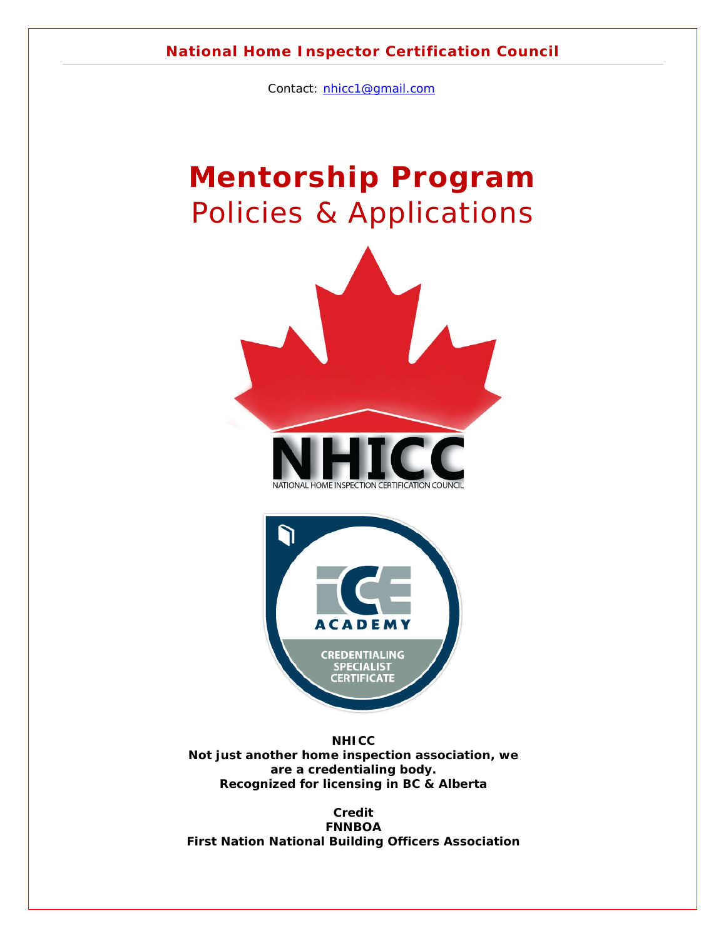#### **National Home Inspector Certification Council**

Contact: [nhicc1@gmail.com](mailto:nhicc1@gmail.com)

# **Mentorship Program** Policies & Applications





*NHICC Not just another home inspection association, we are a credentialing body. Recognized for licensing in BC & Alberta*

*Credit FNNBOA First Nation National Building Officers Association*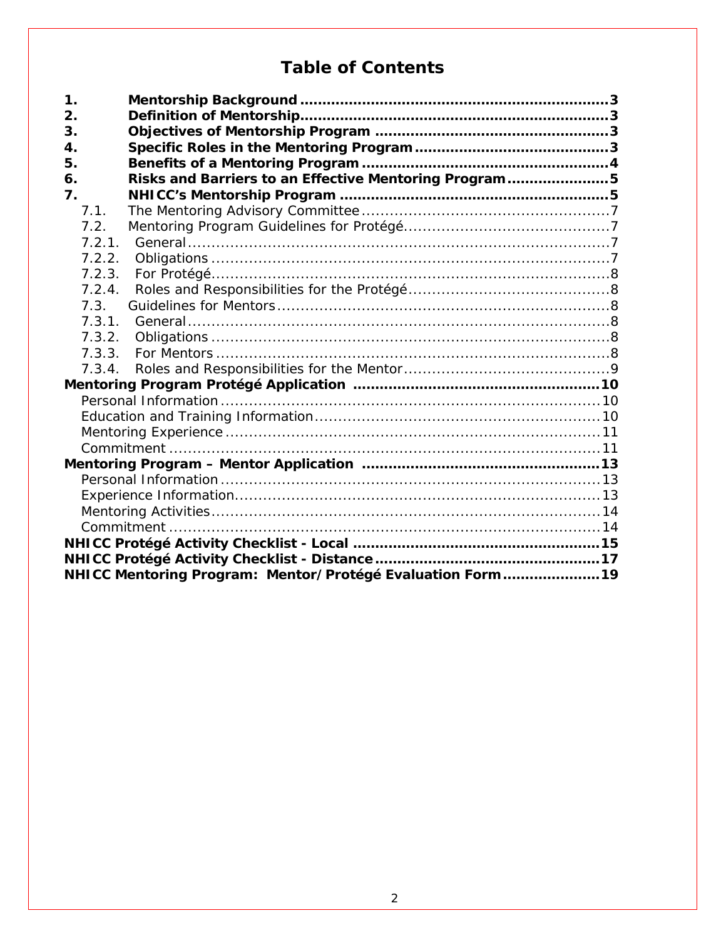## **Table of Contents**

| $\mathbf 1$ .                                               |  |
|-------------------------------------------------------------|--|
| 2.                                                          |  |
| 3.                                                          |  |
| 4.                                                          |  |
| 5.                                                          |  |
| Risks and Barriers to an Effective Mentoring Program5<br>6. |  |
| 7.                                                          |  |
| 7.1.                                                        |  |
| 7.2.                                                        |  |
| 7.2.1.                                                      |  |
| 7.2.2.                                                      |  |
| 7.2.3.<br>7.2.4.                                            |  |
| 7.3.                                                        |  |
| 7.3.1.                                                      |  |
| 7.3.2.                                                      |  |
| 7.3.3.                                                      |  |
| 7.3.4.                                                      |  |
|                                                             |  |
|                                                             |  |
|                                                             |  |
|                                                             |  |
|                                                             |  |
|                                                             |  |
|                                                             |  |
|                                                             |  |
|                                                             |  |
|                                                             |  |
|                                                             |  |
|                                                             |  |
| NHICC Mentoring Program: Mentor/Protégé Evaluation Form 19  |  |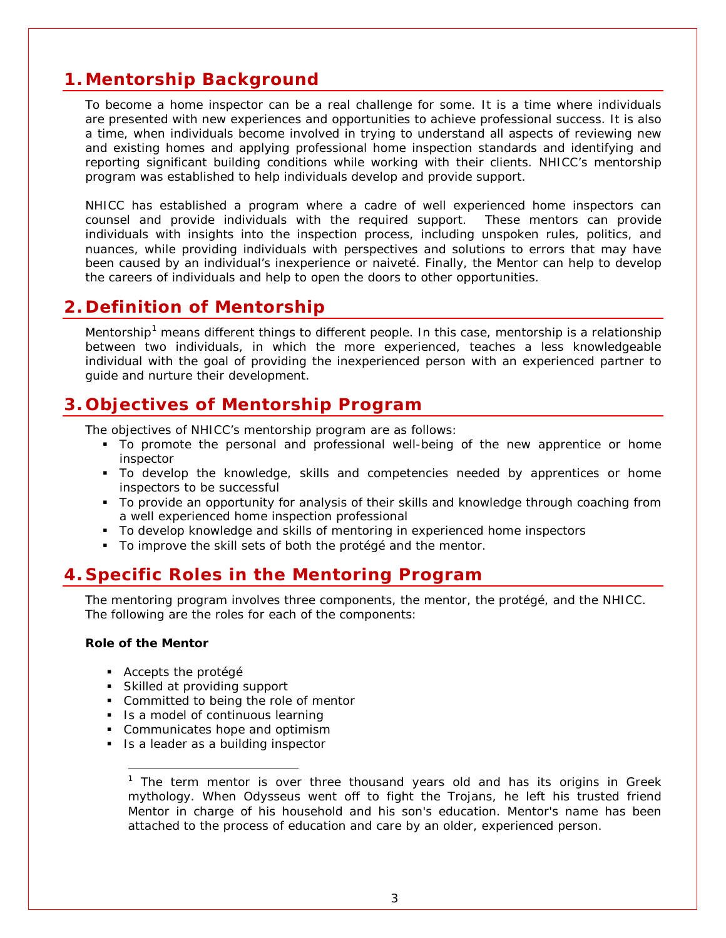## <span id="page-2-0"></span>**1. Mentorship Background**

To become a home inspector can be a real challenge for some. It is a time where individuals are presented with new experiences and opportunities to achieve professional success. It is also a time, when individuals become involved in trying to understand all aspects of reviewing new and existing homes and applying professional home inspection standards and identifying and reporting significant building conditions while working with their clients. NHICC's mentorship program was established to help individuals develop and provide support.

NHICC has established a program where a cadre of well experienced home inspectors can counsel and provide individuals with the required support. These mentors can provide individuals with insights into the inspection process, including unspoken rules, politics, and nuances, while providing individuals with perspectives and solutions to errors that may have been caused by an individual's inexperience or naiveté. Finally, the Mentor can help to develop the careers of individuals and help to open the doors to other opportunities.

### <span id="page-2-1"></span>**2. Definition of Mentorship**

Mentorship<sup>[1](#page-2-4)</sup> means different things to different people. In this case, mentorship is a relationship between two individuals, in which the more experienced, teaches a less knowledgeable individual with the goal of providing the inexperienced person with an experienced partner to guide and nurture their development.

### <span id="page-2-2"></span>**3. Objectives of Mentorship Program**

The objectives of NHICC's mentorship program are as follows:

- To promote the personal and professional well-being of the new apprentice or home inspector
- To develop the knowledge, skills and competencies needed by apprentices or home inspectors to be successful
- To provide an opportunity for analysis of their skills and knowledge through coaching from a well experienced home inspection professional
- To develop knowledge and skills of mentoring in experienced home inspectors
- To improve the skill sets of both the protégé and the mentor.

### <span id="page-2-3"></span>**4. Specific Roles in the Mentoring Program**

The mentoring program involves three components, the mentor, the protégé, and the NHICC. The following are the roles for each of the components:

#### **Role of the Mentor**

l

- Accepts the protégé
- Skilled at providing support
- **Committed to being the role of mentor**
- I Is a model of continuous learning
- **Communicates hope and optimism**
- <span id="page-2-4"></span>I Is a leader as a building inspector

*<sup>1</sup> The term mentor is over three thousand years old and has its origins in Greek mythology. When Odysseus went off to fight the Trojans, he left his trusted friend Mentor in charge of his household and his son's education. Mentor's name has been attached to the process of education and care by an older, experienced person.*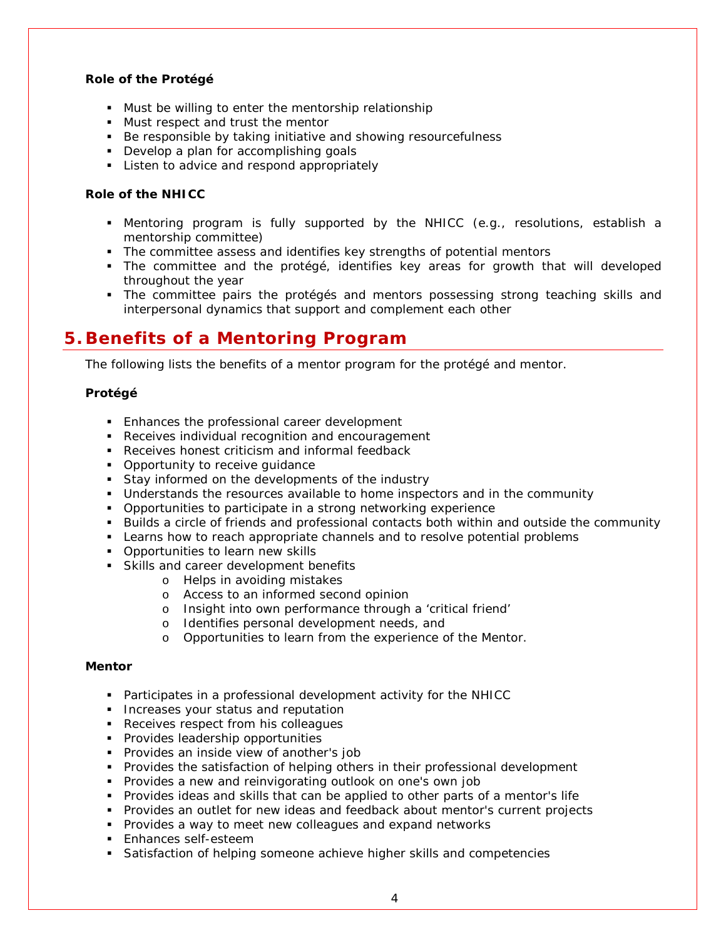#### **Role of the Protégé**

- **Must be willing to enter the mentorship relationship**
- Must respect and trust the mentor
- Be responsible by taking initiative and showing resourcefulness
- Develop a plan for accomplishing goals
- **EXECT** Listen to advice and respond appropriately

#### **Role of the NHICC**

- Mentoring program is fully supported by the NHICC (e.g., resolutions, establish a mentorship committee)
- The committee assess and identifies key strengths of potential mentors
- The committee and the protégé, identifies key areas for growth that will developed throughout the year
- The committee pairs the protégés and mentors possessing strong teaching skills and interpersonal dynamics that support and complement each other

### <span id="page-3-0"></span>**5. Benefits of a Mentoring Program**

The following lists the benefits of a mentor program for the protégé and mentor.

#### **Protégé**

- **Enhances the professional career development**
- **Receives individual recognition and encouragement**
- Receives honest criticism and informal feedback
- Opportunity to receive quidance
- Stay informed on the developments of the industry
- Understands the resources available to home inspectors and in the community
- Opportunities to participate in a strong networking experience
- Builds a circle of friends and professional contacts both within and outside the community
- **Learns how to reach appropriate channels and to resolve potential problems**
- **Opportunities to learn new skills**
- Skills and career development benefits
	- o Helps in avoiding mistakes
	- o Access to an informed second opinion
	- o Insight into own performance through a 'critical friend'
	- o Identifies personal development needs, and
	- o Opportunities to learn from the experience of the Mentor.

#### **Mentor**

- Participates in a professional development activity for the NHICC
- **Increases your status and reputation**
- Receives respect from his colleagues
- **Provides leadership opportunities**
- **Provides an inside view of another's job**
- **Provides the satisfaction of helping others in their professional development**
- **Provides a new and reinvigorating outlook on one's own job**
- Provides ideas and skills that can be applied to other parts of a mentor's life
- **Provides an outlet for new ideas and feedback about mentor's current projects**
- **Provides a way to meet new colleagues and expand networks**
- **Enhances self-esteem**
- **Satisfaction of helping someone achieve higher skills and competencies**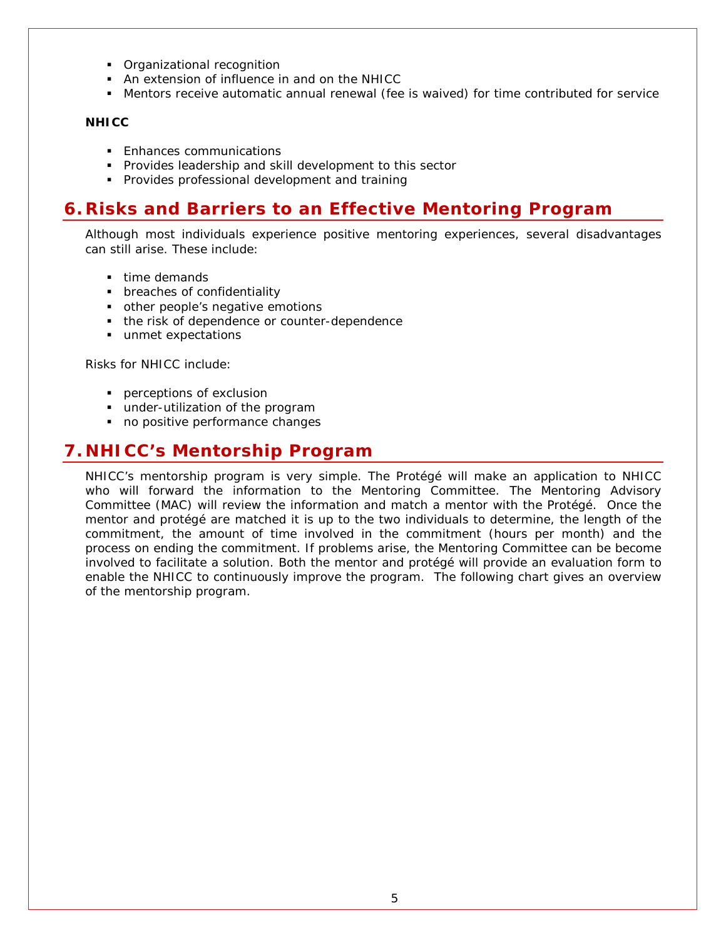- Organizational recognition
- An extension of influence in and on the NHICC
- Mentors receive automatic annual renewal (fee is waived) for time contributed for service

#### **NHICC**

- **Enhances communications**
- **Provides leadership and skill development to this sector**
- **Provides professional development and training**

### <span id="page-4-0"></span>**6. Risks and Barriers to an Effective Mentoring Program**

Although most individuals experience positive mentoring experiences, several disadvantages can still arise. These include:

- time demands
- **•** breaches of confidentiality
- other people's negative emotions
- the risk of dependence or counter-dependence
- unmet expectations

Risks for NHICC include:

- **perceptions of exclusion**
- under-utilization of the program
- no positive performance changes

### <span id="page-4-1"></span>**7. NHICC's Mentorship Program**

NHICC's mentorship program is very simple. The Protégé will make an application to NHICC who will forward the information to the Mentoring Committee. The Mentoring Advisory Committee (MAC) will review the information and match a mentor with the Protégé. Once the mentor and protégé are matched it is up to the two individuals to determine, the length of the commitment, the amount of time involved in the commitment (hours per month) and the process on ending the commitment. If problems arise, the Mentoring Committee can be become involved to facilitate a solution. Both the mentor and protégé will provide an evaluation form to enable the NHICC to continuously improve the program. The following chart gives an overview of the mentorship program.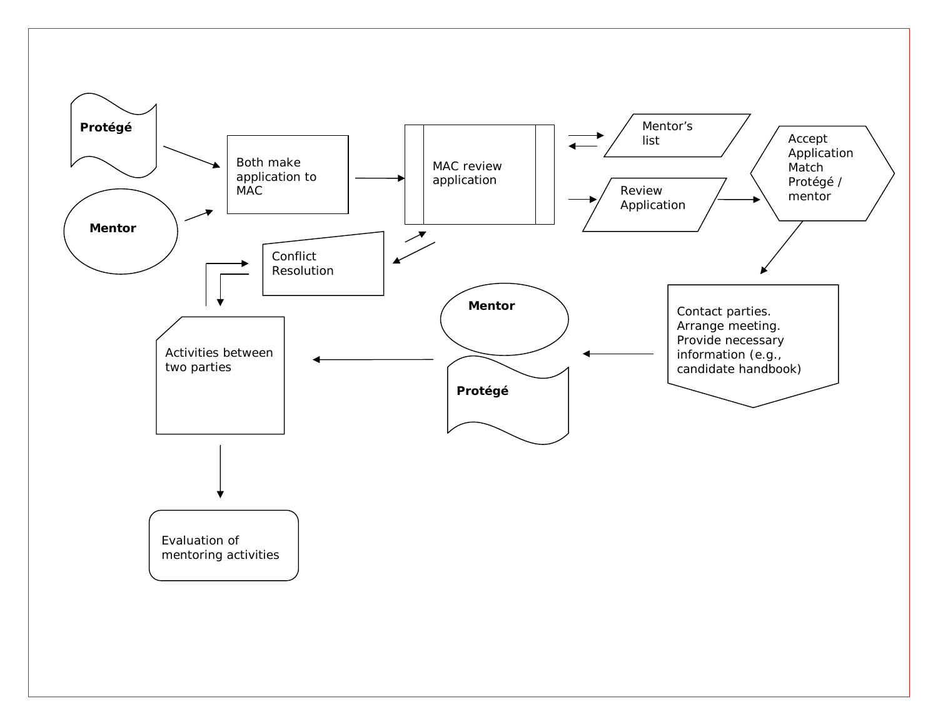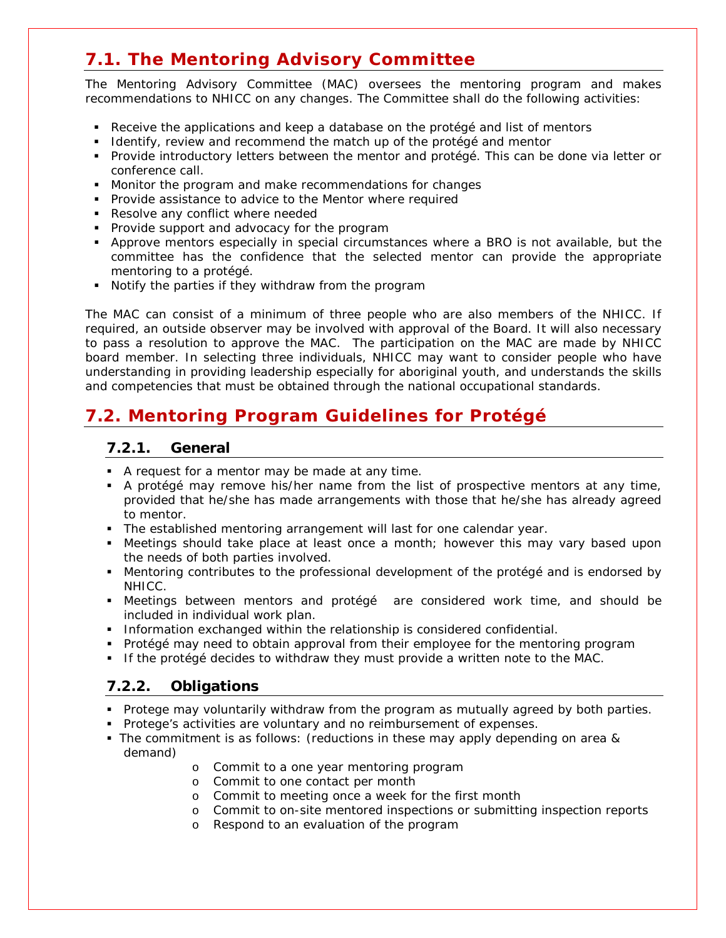## <span id="page-6-0"></span>**7.1. The Mentoring Advisory Committee**

The Mentoring Advisory Committee (MAC) oversees the mentoring program and makes recommendations to NHICC on any changes. The Committee shall do the following activities:

- Receive the applications and keep a database on the protégé and list of mentors
- I dentify, review and recommend the match up of the protégé and mentor
- Provide introductory letters between the mentor and protégé. This can be done via letter or conference call.
- **Monitor the program and make recommendations for changes**
- **Provide assistance to advice to the Mentor where required**
- Resolve any conflict where needed
- **Provide support and advocacy for the program**
- Approve mentors especially in special circumstances where a BRO is not available, but the committee has the confidence that the selected mentor can provide the appropriate mentoring to a protégé.
- Notify the parties if they withdraw from the program

The MAC can consist of a minimum of three people who are also members of the NHICC. If required, an outside observer may be involved with approval of the Board. It will also necessary to pass a resolution to approve the MAC. The participation on the MAC are made by NHICC board member. In selecting three individuals, NHICC may want to consider people who have understanding in providing leadership especially for aboriginal youth, and understands the skills and competencies that must be obtained through the national occupational standards.

## <span id="page-6-2"></span><span id="page-6-1"></span>**7.2. Mentoring Program Guidelines for Protégé**

#### **7.2.1. General**

- A request for a mentor may be made at any time.
- A protégé may remove his/her name from the list of prospective mentors at any time, provided that he/she has made arrangements with those that he/she has already agreed to mentor.
- The established mentoring arrangement will last for one calendar year.
- Meetings should take place at least once a month; however this may vary based upon the needs of both parties involved.
- Mentoring contributes to the professional development of the protégé and is endorsed by NHICC.
- Meetings between mentors and protégé are considered work time, and should be included in individual work plan.
- **Information exchanged within the relationship is considered confidential.**
- Protégé may need to obtain approval from their employee for the mentoring program
- If the protégé decides to withdraw they must provide a written note to the MAC.

#### <span id="page-6-3"></span>**7.2.2. Obligations**

- **Protege may voluntarily withdraw from the program as mutually agreed by both parties.**
- **Protege's activities are voluntary and no reimbursement of expenses.**
- The commitment is as follows: (reductions in these may apply depending on area & demand)
	- o Commit to a one year mentoring program
	- o Commit to one contact per month
	- o Commit to meeting once a week for the first month
	- o Commit to on-site mentored inspections or submitting inspection reports
	- o Respond to an evaluation of the program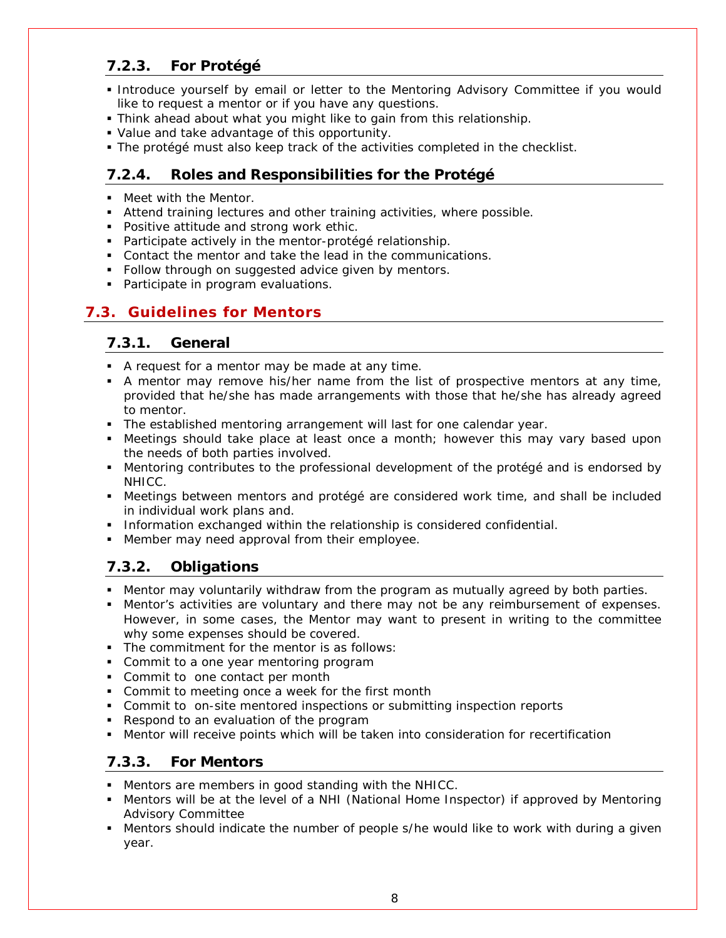### <span id="page-7-0"></span>**7.2.3. For Protégé**

- Introduce yourself by email or letter to the Mentoring Advisory Committee if you would like to request a mentor or if you have any questions.
- Think ahead about what you might like to gain from this relationship.
- Value and take advantage of this opportunity.
- The protégé must also keep track of the activities completed in the checklist.

### <span id="page-7-1"></span>**7.2.4. Roles and Responsibilities for the Protégé**

- **Meet with the Mentor.**
- Attend training lectures and other training activities, where possible.
- **Positive attitude and strong work ethic.**
- **Participate actively in the mentor-protégé relationship.**
- Contact the mentor and take the lead in the communications.
- Follow through on suggested advice given by mentors.
- Participate in program evaluations.

### <span id="page-7-3"></span><span id="page-7-2"></span>**7.3. Guidelines for Mentors**

#### **7.3.1. General**

- A request for a mentor may be made at any time.
- A mentor may remove his/her name from the list of prospective mentors at any time, provided that he/she has made arrangements with those that he/she has already agreed to mentor.
- The established mentoring arrangement will last for one calendar year.
- Meetings should take place at least once a month; however this may vary based upon the needs of both parties involved.
- Mentoring contributes to the professional development of the protégé and is endorsed by NHICC.
- Meetings between mentors and protégé are considered work time, and shall be included in individual work plans and.
- Information exchanged within the relationship is considered confidential.
- **Member may need approval from their employee.**

### <span id="page-7-4"></span>**7.3.2. Obligations**

- Mentor may voluntarily withdraw from the program as mutually agreed by both parties.
- Mentor's activities are voluntary and there may not be any reimbursement of expenses. However, in some cases, the Mentor may want to present in writing to the committee why some expenses should be covered.
- **The commitment for the mentor is as follows:**
- Commit to a one year mentoring program
- **Commit to one contact per month**
- **Commit to meeting once a week for the first month**
- Commit to on-site mentored inspections or submitting inspection reports
- Respond to an evaluation of the program
- **Mentor will receive points which will be taken into consideration for recertification**

### <span id="page-7-5"></span>**7.3.3. For Mentors**

- Mentors are members in good standing with the NHICC.
- Mentors will be at the level of a NHI (National Home Inspector) if approved by Mentoring Advisory Committee
- Mentors should indicate the number of people s/he would like to work with during a given year.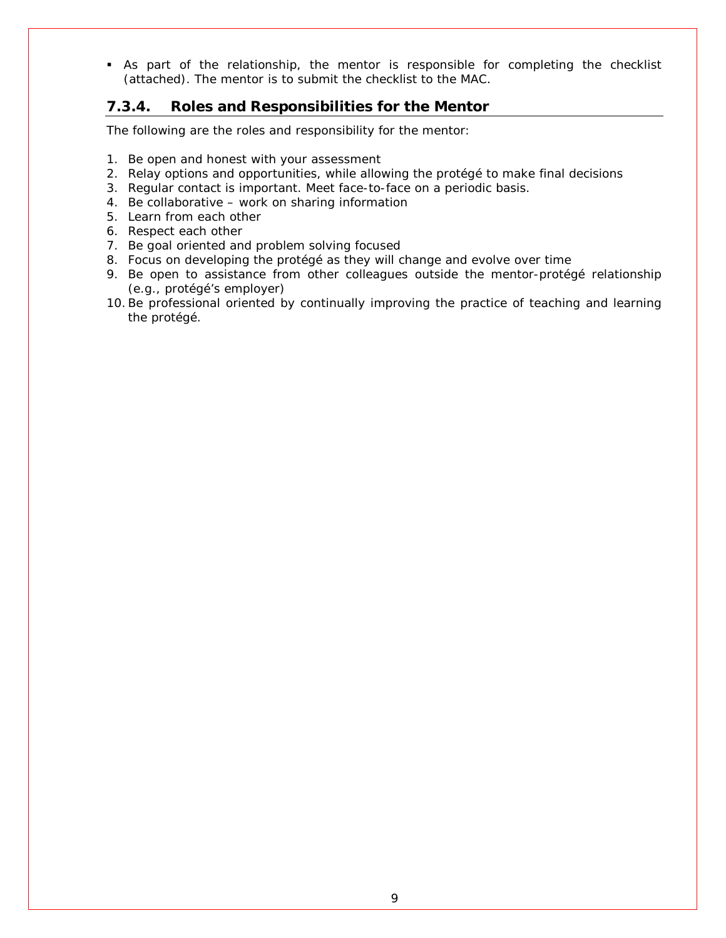As part of the relationship, the mentor is responsible for completing the checklist (attached). The mentor is to submit the checklist to the MAC.

#### <span id="page-8-0"></span>**7.3.4. Roles and Responsibilities for the Mentor**

The following are the roles and responsibility for the mentor:

- 1. Be open and honest with your assessment
- 2. Relay options and opportunities, while allowing the protégé to make final decisions
- 3. Regular contact is important. Meet face-to-face on a periodic basis.
- 4. Be collaborative work on sharing information
- 5. Learn from each other
- 6. Respect each other
- 7. Be goal oriented and problem solving focused
- 8. Focus on developing the protégé as they will change and evolve over time
- 9. Be open to assistance from other colleagues outside the mentor-protégé relationship (e.g., protégé's employer)
- 10.Be professional oriented by continually improving the practice of teaching and learning the protégé.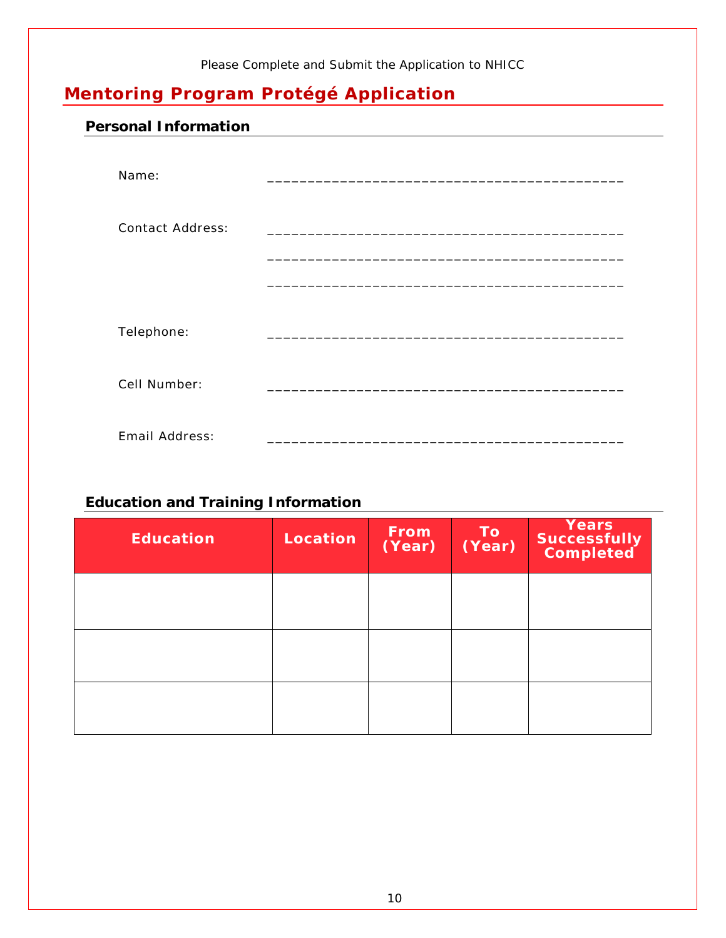#### *Please Complete and Submit the Application to NHICC*

## <span id="page-9-0"></span>**Mentoring Program Protégé Application**

### <span id="page-9-1"></span>**Personal Information**

| Name:                   |                                                  |
|-------------------------|--------------------------------------------------|
| <b>Contact Address:</b> | <u> 1960 - Johann Johnson, mars eta bainar e</u> |
|                         |                                                  |
| Telephone:              |                                                  |
| Cell Number:            |                                                  |
| Email Address:          |                                                  |

### <span id="page-9-2"></span>**Education and Training Information**

| <b>Education</b> | Location | <b>From</b><br>(Year) | To<br>(Year) | Years<br>Successfully<br>Completed |
|------------------|----------|-----------------------|--------------|------------------------------------|
|                  |          |                       |              |                                    |
|                  |          |                       |              |                                    |
|                  |          |                       |              |                                    |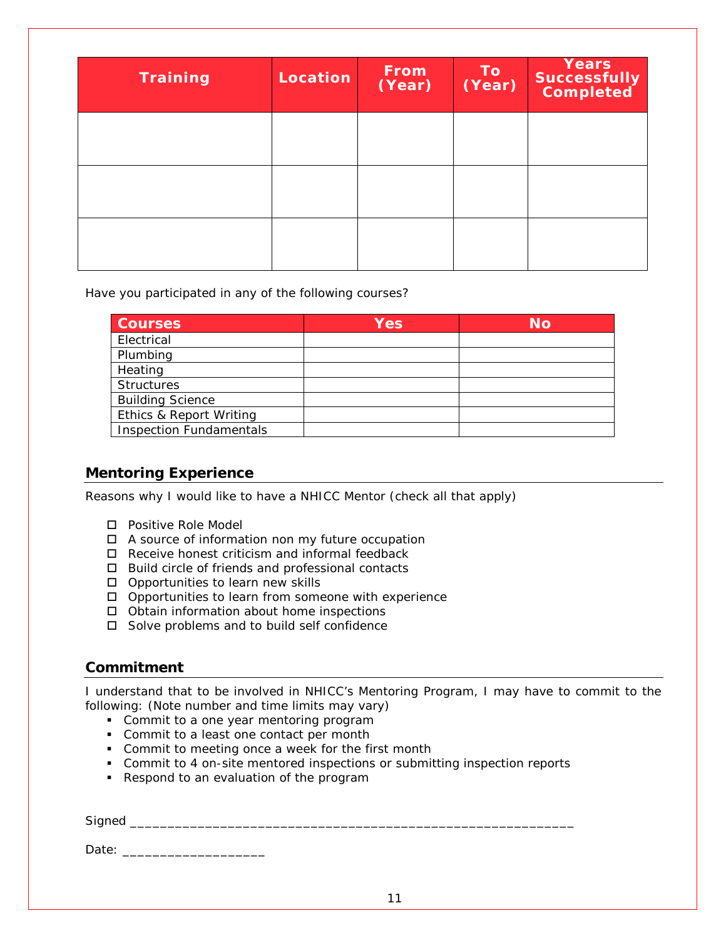| <b>Training</b> | Location | <b>From</b><br>(Year) | To<br>(Year) | <b>Years</b><br>Successfully<br>Completed |
|-----------------|----------|-----------------------|--------------|-------------------------------------------|
|                 |          |                       |              |                                           |
|                 |          |                       |              |                                           |
|                 |          |                       |              |                                           |

Have you participated in any of the following courses?

| Courses                        | <b>Yes</b> | No |
|--------------------------------|------------|----|
| Electrical                     |            |    |
| Plumbing                       |            |    |
| Heating                        |            |    |
| <b>Structures</b>              |            |    |
| <b>Building Science</b>        |            |    |
| Ethics & Report Writing        |            |    |
| <b>Inspection Fundamentals</b> |            |    |

#### <span id="page-10-0"></span>**Mentoring Experience**

Reasons why I would like to have a NHICC Mentor (check all that apply)

- Positive Role Model
- □ A source of information non my future occupation
- $\Box$  Receive honest criticism and informal feedback
- $\Box$  Build circle of friends and professional contacts
- □ Opportunities to learn new skills
- $\Box$  Opportunities to learn from someone with experience
- □ Obtain information about home inspections
- □ Solve problems and to build self confidence

#### <span id="page-10-1"></span>**Commitment**

I understand that to be involved in NHICC's Mentoring Program, I may have to commit to the following: (Note number and time limits may vary)

- Commit to a one year mentoring program
- Commit to a least one contact per month
- **Commit to meeting once a week for the first month**
- Commit to 4 on-site mentored inspections or submitting inspection reports
- Respond to an evaluation of the program

| $\sim$ $\sim$<br>$\sim$ |  |
|-------------------------|--|
|                         |  |

Date: \_\_\_\_\_\_\_\_\_\_\_\_\_\_\_\_\_\_\_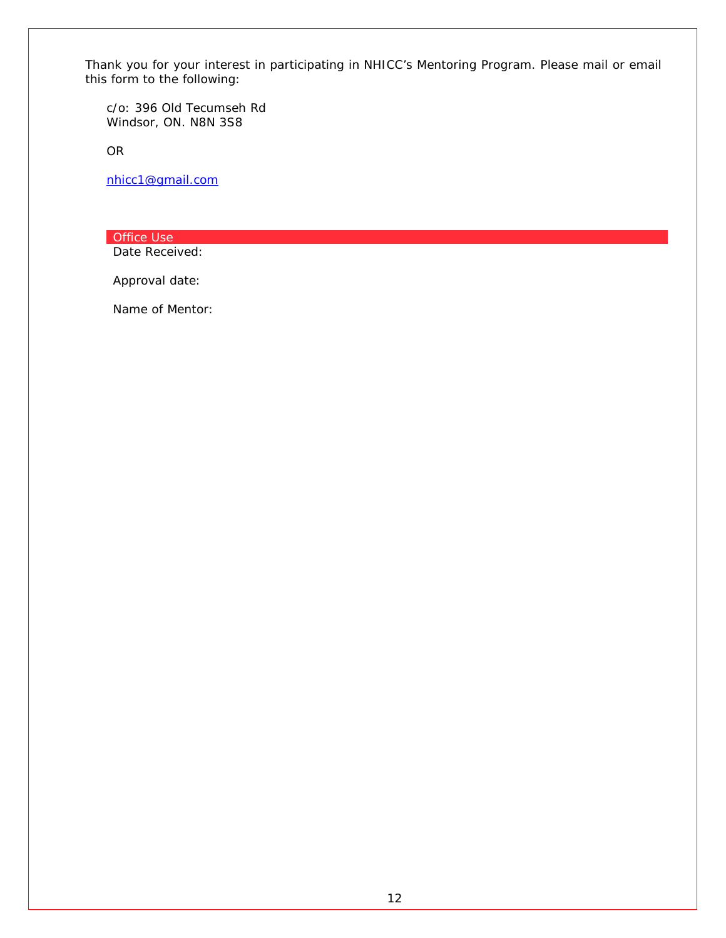Thank you for your interest in participating in NHICC's Mentoring Program. Please mail or email this form to the following:

c/o: 396 Old Tecumseh Rd Windsor, ON. N8N 3S8

OR

[nhicc1@gmail.com](mailto:nhicc1@gmail.com)

Office Use

Date Received:

Approval date:

Name of Mentor: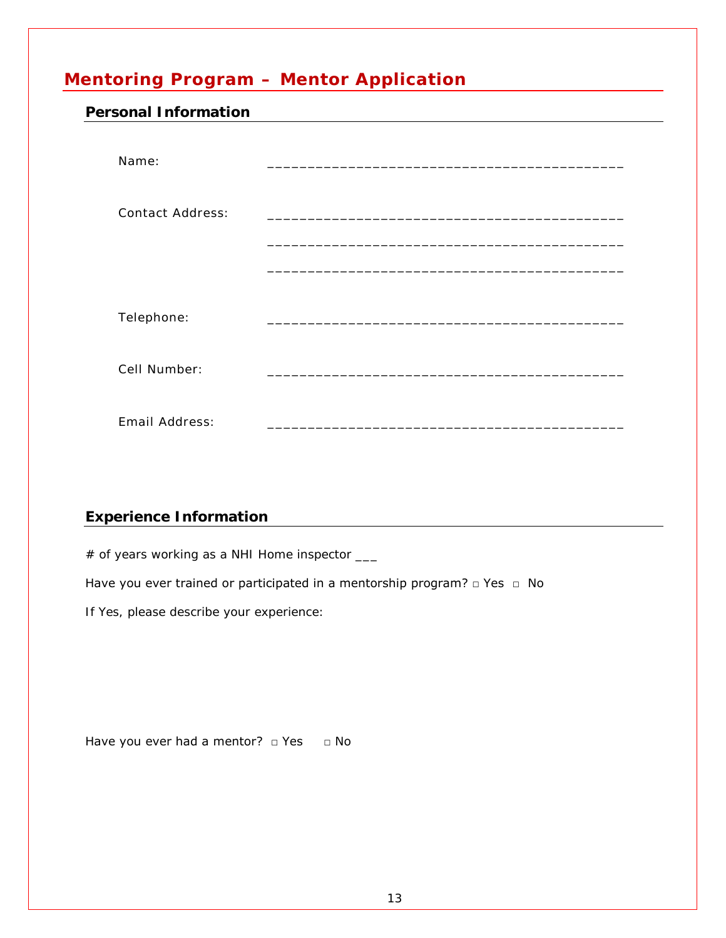## <span id="page-12-0"></span>**Mentoring Program – Mentor Application**

#### <span id="page-12-1"></span>**Personal Information**

| Name:                   |  |
|-------------------------|--|
| <b>Contact Address:</b> |  |
|                         |  |
| Telephone:              |  |
| Cell Number:            |  |
| Email Address:          |  |

### <span id="page-12-2"></span>**Experience Information**

# of years working as a NHI Home inspector \_\_\_

Have you ever trained or participated in a mentorship program? □ Yes □ No

*If Yes, please describe your experience:*

Have you ever had a mentor?  $\Box$  Yes  $\Box$  No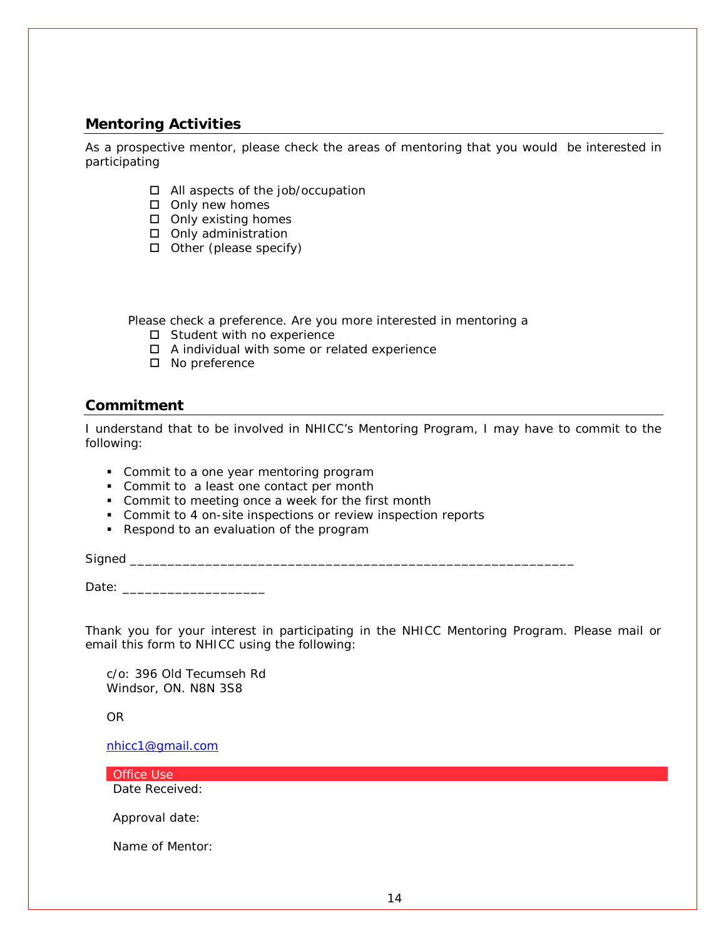#### <span id="page-13-0"></span>**Mentoring Activities**

As a prospective mentor, please check the areas of mentoring that you would be interested in participating

- All aspects of the job/occupation
- $\square$  Only new homes
- $\square$  Only existing homes
- □ Only administration
- $\Box$  Other (please specify)

Please check a preference. Are you more interested in mentoring a

- $\square$  Student with no experience
- A individual with some or related experience
- □ No preference

#### <span id="page-13-1"></span>**Commitment**

I understand that to be involved in NHICC's Mentoring Program, I may have to commit to the following:

- Commit to a one year mentoring program
- Commit to a least one contact per month
- **Commit to meeting once a week for the first month**
- Commit to 4 on-site inspections or review inspection reports
- Respond to an evaluation of the program

Signed \_\_\_\_\_\_\_\_\_\_\_\_\_\_\_\_\_\_\_\_\_\_\_\_\_\_\_\_\_\_\_\_\_\_\_\_\_\_\_\_\_\_\_\_\_\_\_\_\_\_\_\_\_\_\_\_\_\_\_

Date: \_\_\_\_\_\_\_\_\_\_\_\_\_\_\_\_\_\_\_

Thank you for your interest in participating in the NHICC Mentoring Program. Please mail or email this form to NHICC using the following:

c/o: 396 Old Tecumseh Rd Windsor, ON. N8N 3S8

OR

[nhicc1@gmail.com](mailto:nhicc1@gmail.com)

Office Use Date Received:

Approval date:

Name of Mentor: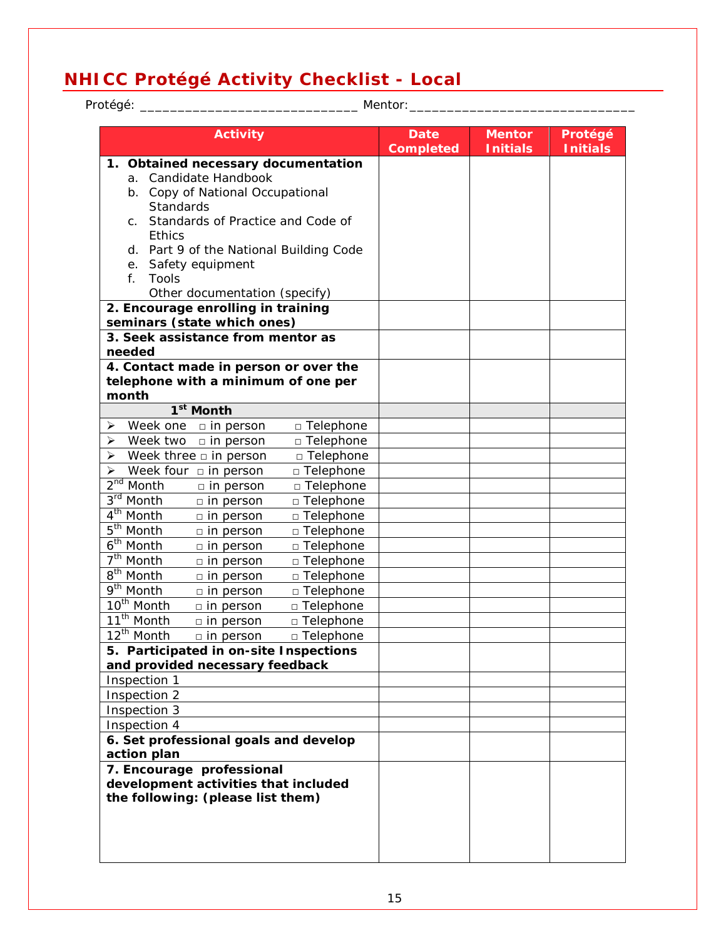## <span id="page-14-0"></span>**NHICC Protégé Activity Checklist - Local**

| Mentor:<br>Protégé:                           |                  |                                 |                                  |                            |  |
|-----------------------------------------------|------------------|---------------------------------|----------------------------------|----------------------------|--|
| <b>Activity</b>                               |                  | <b>Date</b><br><b>Completed</b> | <b>Mentor</b><br><b>Initials</b> | Protégé<br><b>Initials</b> |  |
| 1. Obtained necessary documentation           |                  |                                 |                                  |                            |  |
| a. Candidate Handbook                         |                  |                                 |                                  |                            |  |
| b. Copy of National Occupational              |                  |                                 |                                  |                            |  |
| Standards                                     |                  |                                 |                                  |                            |  |
| Standards of Practice and Code of<br>C.       |                  |                                 |                                  |                            |  |
| <b>Ethics</b>                                 |                  |                                 |                                  |                            |  |
| d. Part 9 of the National Building Code       |                  |                                 |                                  |                            |  |
| Safety equipment<br>е.                        |                  |                                 |                                  |                            |  |
| <b>Tools</b><br>$f_{\perp}$                   |                  |                                 |                                  |                            |  |
| Other documentation (specify)                 |                  |                                 |                                  |                            |  |
| 2. Encourage enrolling in training            |                  |                                 |                                  |                            |  |
| seminars (state which ones)                   |                  |                                 |                                  |                            |  |
| 3. Seek assistance from mentor as             |                  |                                 |                                  |                            |  |
| needed                                        |                  |                                 |                                  |                            |  |
| 4. Contact made in person or over the         |                  |                                 |                                  |                            |  |
| telephone with a minimum of one per           |                  |                                 |                                  |                            |  |
| month                                         |                  |                                 |                                  |                            |  |
| 1 <sup>st</sup> Month                         |                  |                                 |                                  |                            |  |
| Week one $\Box$ in person<br>⋗                | □ Telephone      |                                 |                                  |                            |  |
| Week two<br>$\Box$ in person<br>➤             | □ Telephone      |                                 |                                  |                            |  |
| Week three $\square$ in person<br>⋗           | □ Telephone      |                                 |                                  |                            |  |
| Week four $\Box$ in person<br>⋗               | □ Telephone      |                                 |                                  |                            |  |
| 2 <sup>nd</sup> Month<br>$\Box$ in person     | □ Telephone      |                                 |                                  |                            |  |
| 3rd Month<br>$\Box$ in person                 | $\Box$ Telephone |                                 |                                  |                            |  |
| 4 <sup>th</sup> Month<br>$\Box$ in person     | □ Telephone      |                                 |                                  |                            |  |
| 5 <sup>th</sup> Month<br>$\Box$ in person     | □ Telephone      |                                 |                                  |                            |  |
| 6 <sup>th</sup> Month<br>$\square$ in person  | □ Telephone      |                                 |                                  |                            |  |
| 7 <sup>th</sup> Month<br>$\Box$ in person     | □ Telephone      |                                 |                                  |                            |  |
| $8th$ Month<br>$\Box$ in person               | □ Telephone      |                                 |                                  |                            |  |
| $\overline{9^{th}}$ Month<br>$\Box$ in person | □ Telephone      |                                 |                                  |                            |  |
| 10 <sup>th</sup> Month<br>$\Box$ in person    | □ Telephone      |                                 |                                  |                            |  |
| 11 <sup>th</sup> Month<br>$\Box$ in person    | □ Telephone      |                                 |                                  |                            |  |
| $12^{\text{th}}$ Month<br>$\Box$ in person    | $\Box$ Telephone |                                 |                                  |                            |  |
| 5. Participated in on-site Inspections        |                  |                                 |                                  |                            |  |
| and provided necessary feedback               |                  |                                 |                                  |                            |  |
| Inspection 1                                  |                  |                                 |                                  |                            |  |
| Inspection 2                                  |                  |                                 |                                  |                            |  |
| Inspection 3                                  |                  |                                 |                                  |                            |  |
| Inspection 4                                  |                  |                                 |                                  |                            |  |
| 6. Set professional goals and develop         |                  |                                 |                                  |                            |  |
| action plan                                   |                  |                                 |                                  |                            |  |
| 7. Encourage professional                     |                  |                                 |                                  |                            |  |
| development activities that included          |                  |                                 |                                  |                            |  |
| the following: (please list them)             |                  |                                 |                                  |                            |  |
|                                               |                  |                                 |                                  |                            |  |
|                                               |                  |                                 |                                  |                            |  |
|                                               |                  |                                 |                                  |                            |  |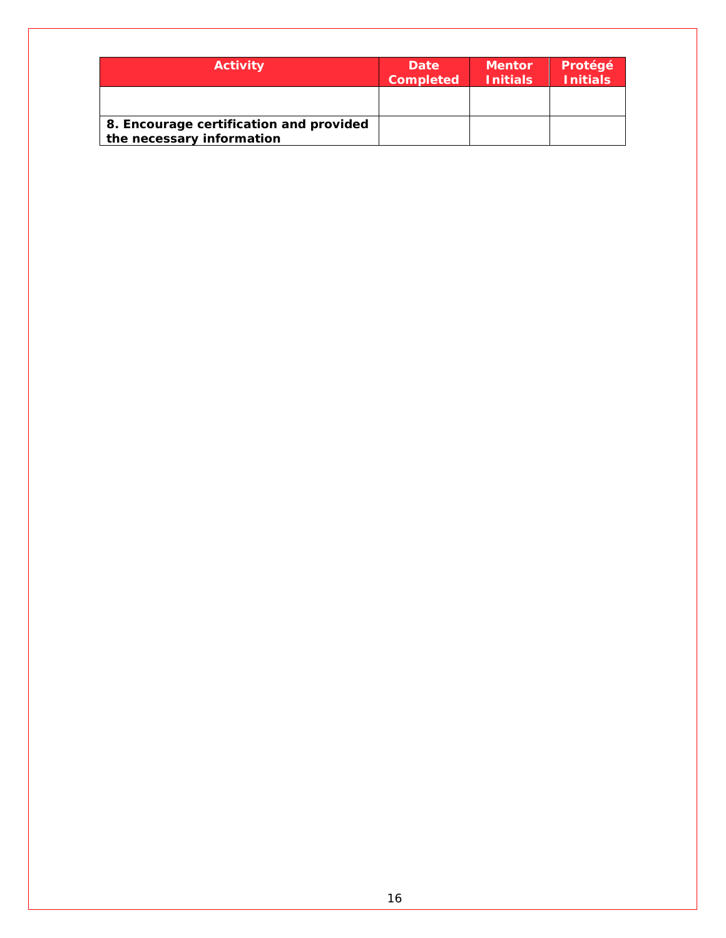| <b>Activity</b>                                                      | <b>Date</b><br><b>Completed</b> | <b>Mentor</b><br><b>Initials</b> | Protégé<br><b>Initials</b> |
|----------------------------------------------------------------------|---------------------------------|----------------------------------|----------------------------|
|                                                                      |                                 |                                  |                            |
| 8. Encourage certification and provided<br>the necessary information |                                 |                                  |                            |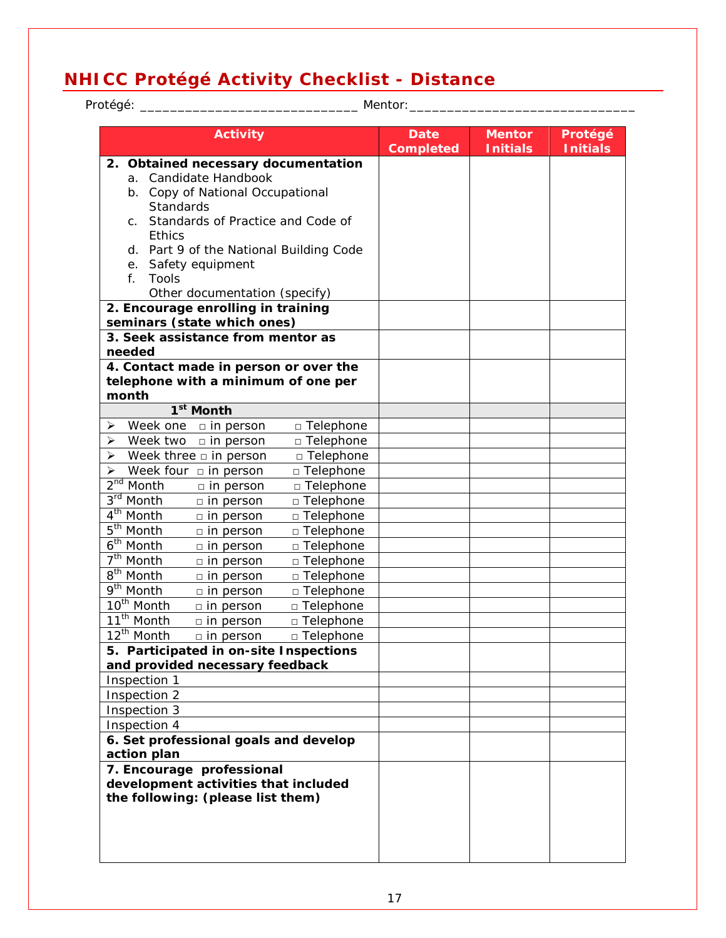## <span id="page-16-0"></span>**NHICC Protégé Activity Checklist - Distance**

| Protégé: <sub>-</sub>                                             |                  | Mentor:                         |                                  |                            |
|-------------------------------------------------------------------|------------------|---------------------------------|----------------------------------|----------------------------|
| <b>Activity</b>                                                   |                  | <b>Date</b><br><b>Completed</b> | <b>Mentor</b><br><b>Initials</b> | Protégé<br><b>Initials</b> |
| 2. Obtained necessary documentation                               |                  |                                 |                                  |                            |
| a. Candidate Handbook                                             |                  |                                 |                                  |                            |
| b. Copy of National Occupational                                  |                  |                                 |                                  |                            |
| Standards                                                         |                  |                                 |                                  |                            |
| Standards of Practice and Code of<br>C.                           |                  |                                 |                                  |                            |
| <b>Ethics</b>                                                     |                  |                                 |                                  |                            |
| d. Part 9 of the National Building Code                           |                  |                                 |                                  |                            |
| Safety equipment<br>е.                                            |                  |                                 |                                  |                            |
| <b>Tools</b><br>$f_{\perp}$                                       |                  |                                 |                                  |                            |
| Other documentation (specify)                                     |                  |                                 |                                  |                            |
| 2. Encourage enrolling in training                                |                  |                                 |                                  |                            |
| seminars (state which ones)                                       |                  |                                 |                                  |                            |
| 3. Seek assistance from mentor as                                 |                  |                                 |                                  |                            |
| needed                                                            |                  |                                 |                                  |                            |
| 4. Contact made in person or over the                             |                  |                                 |                                  |                            |
| telephone with a minimum of one per                               |                  |                                 |                                  |                            |
| month                                                             |                  |                                 |                                  |                            |
| 1 <sup>st</sup> Month                                             |                  |                                 |                                  |                            |
| Week one $\Box$ in person<br>⋗                                    | □ Telephone      |                                 |                                  |                            |
| Week two<br>$\Box$ in person<br>➤                                 | □ Telephone      |                                 |                                  |                            |
| Week three $\square$ in person<br>➤                               | □ Telephone      |                                 |                                  |                            |
| Week four $\Box$ in person<br>⋗                                   | □ Telephone      |                                 |                                  |                            |
| 2 <sup>nd</sup> Month<br>$\Box$ in person                         | □ Telephone      |                                 |                                  |                            |
| 3rd Month<br>$\Box$ in person                                     | $\Box$ Telephone |                                 |                                  |                            |
| 4 <sup>th</sup> Month<br>$\Box$ in person                         | □ Telephone      |                                 |                                  |                            |
| 5 <sup>th</sup> Month<br>$\Box$ in person                         | □ Telephone      |                                 |                                  |                            |
| 6 <sup>th</sup> Month<br>$\square$ in person                      | □ Telephone      |                                 |                                  |                            |
| 7 <sup>th</sup> Month<br>$\Box$ in person                         | □ Telephone      |                                 |                                  |                            |
| $8th$ Month<br>$\Box$ in person                                   | □ Telephone      |                                 |                                  |                            |
| $\overline{9^{th}}$ Month<br>$\Box$ in person                     | □ Telephone      |                                 |                                  |                            |
| 10 <sup>th</sup> Month<br>$\Box$ in person                        | □ Telephone      |                                 |                                  |                            |
| 11 <sup>th</sup> Month<br>$\Box$ in person                        | □ Telephone      |                                 |                                  |                            |
| $12^{\text{th}}$ Month<br>$\Box$ in person                        | $\Box$ Telephone |                                 |                                  |                            |
| 5. Participated in on-site Inspections                            |                  |                                 |                                  |                            |
| and provided necessary feedback                                   |                  |                                 |                                  |                            |
| Inspection 1                                                      |                  |                                 |                                  |                            |
| Inspection 2                                                      |                  |                                 |                                  |                            |
| Inspection 3                                                      |                  |                                 |                                  |                            |
| Inspection 4                                                      |                  |                                 |                                  |                            |
| 6. Set professional goals and develop                             |                  |                                 |                                  |                            |
| action plan                                                       |                  |                                 |                                  |                            |
| 7. Encourage professional<br>development activities that included |                  |                                 |                                  |                            |
| the following: (please list them)                                 |                  |                                 |                                  |                            |
|                                                                   |                  |                                 |                                  |                            |
|                                                                   |                  |                                 |                                  |                            |
|                                                                   |                  |                                 |                                  |                            |
|                                                                   |                  |                                 |                                  |                            |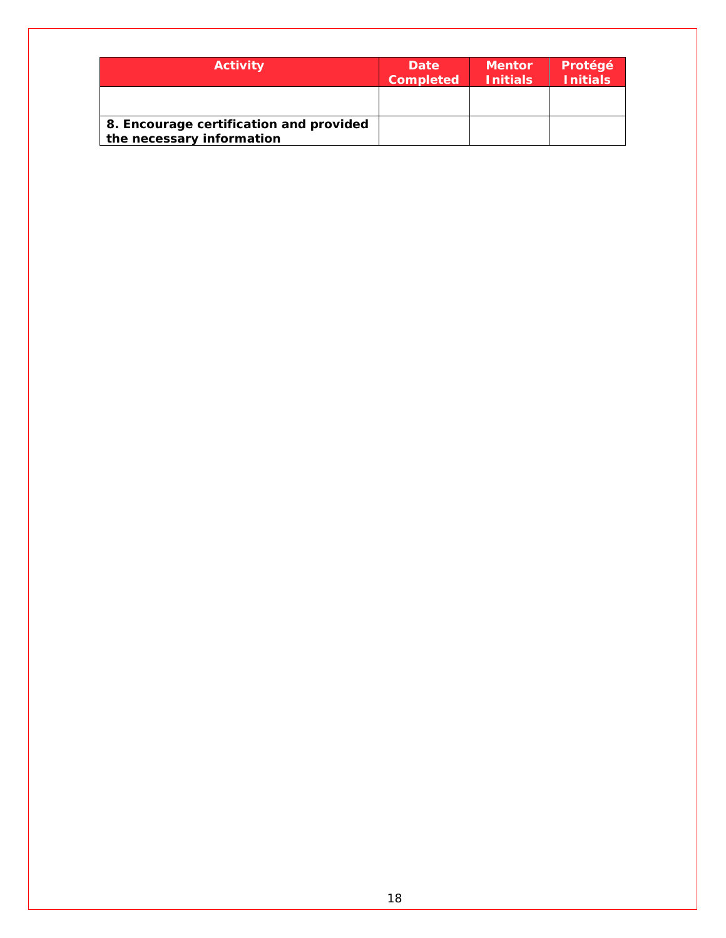| <b>Activity</b>                                                      | <b>Date</b><br><b>Completed</b> | <b>Mentor</b><br><b>Initials</b> | Protégé<br><b>Initials</b> |
|----------------------------------------------------------------------|---------------------------------|----------------------------------|----------------------------|
|                                                                      |                                 |                                  |                            |
| 8. Encourage certification and provided<br>the necessary information |                                 |                                  |                            |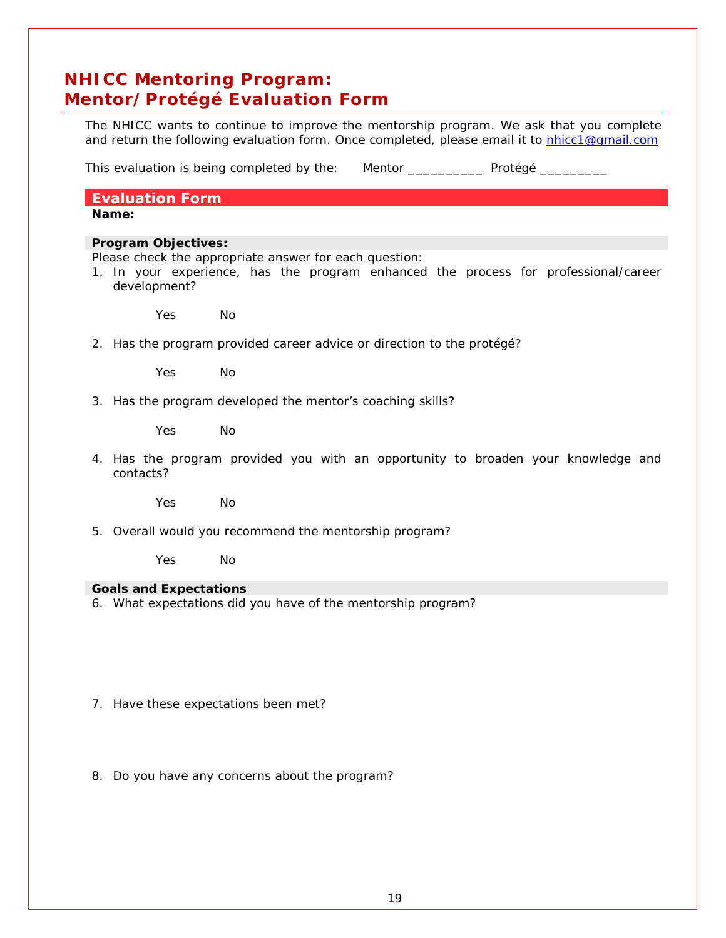## <span id="page-18-0"></span>**NHICC Mentoring Program: Mentor/Protégé Evaluation Form**

The NHICC wants to continue to improve the mentorship program. We ask that you complete and return the following evaluation form. Once completed, please email it to [nhicc1@gmail.com](mailto:nhicc1@gmail.com)

This evaluation is being completed by the: Mentor \_\_\_\_\_\_\_\_\_\_\_\_ Protégé \_\_\_\_\_\_\_\_\_

**Evaluation Form**

**Name:**

#### **Program Objectives:**

Please check the appropriate answer for each question:

1. In your experience, has the program enhanced the process for professional/career development?

Yes No

2. Has the program provided career advice or direction to the protégé?

Yes No

3. Has the program developed the mentor's coaching skills?

Yes No

4. Has the program provided you with an opportunity to broaden your knowledge and contacts?

Yes No

5. Overall would you recommend the mentorship program?

Yes No

#### **Goals and Expectations**

6. What expectations did you have of the mentorship program?

7. Have these expectations been met?

8. Do you have any concerns about the program?